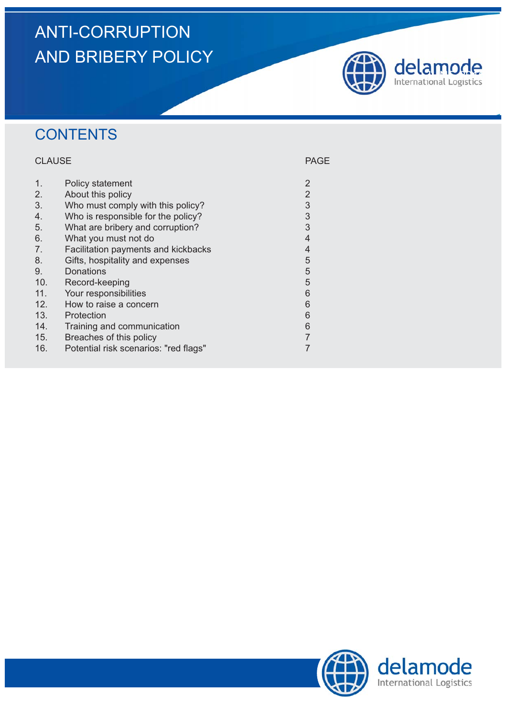# ANTI-CORRUPTION AND BRIBERY POLICY



## **CONTENTS**

### CLAUSE **PAGE**

| 1.  | Policy statement                      | 2              |
|-----|---------------------------------------|----------------|
| 2.  | About this policy                     | $\overline{2}$ |
| 3.  | Who must comply with this policy?     | $\mathfrak{S}$ |
| 4.  | Who is responsible for the policy?    | $\mathfrak{S}$ |
| 5.  | What are bribery and corruption?      | $\overline{3}$ |
| 6.  | What you must not do                  | $\overline{4}$ |
| 7.  | Facilitation payments and kickbacks   | $\overline{4}$ |
| 8.  | Gifts, hospitality and expenses       | 5              |
| 9.  | Donations                             | 5              |
| 10. | Record-keeping                        | 5              |
| 11. | Your responsibilities                 | 6              |
| 12. | How to raise a concern                | 6              |
| 13. | Protection                            | 6              |
| 14. | Training and communication            | 6              |
| 15. | Breaches of this policy               |                |
| 16. | Potential risk scenarios: "red flags" |                |

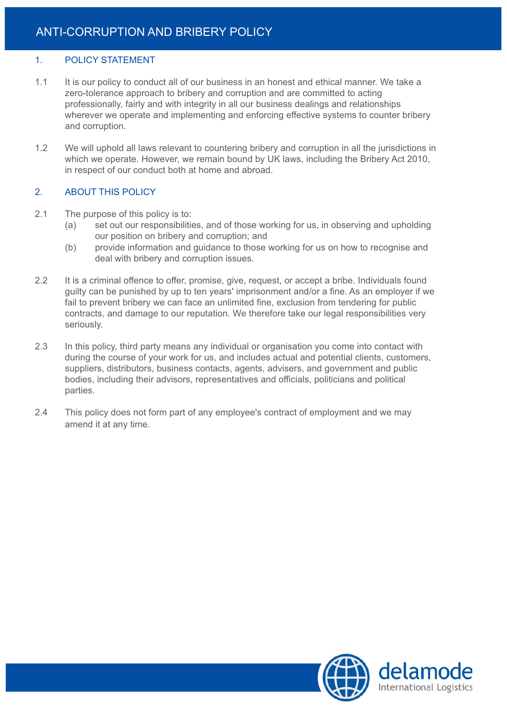#### 1. POLICY STATEMENT

- 1.1 It is our policy to conduct all of our business in an honest and ethical manner. We take a zero-tolerance approach to bribery and corruption and are committed to acting professionally, fairly and with integrity in all our business dealings and relationships wherever we operate and implementing and enforcing effective systems to counter bribery and corruption.
- 1.2 We will uphold all laws relevant to countering bribery and corruption in all the jurisdictions in which we operate. However, we remain bound by UK laws, including the Bribery Act 2010, in respect of our conduct both at home and abroad.

#### 2. ABOUT THIS POLICY

- 2.1 The purpose of this policy is to:
	- (a) set out our responsibilities, and of those working for us, in observing and upholding our position on bribery and corruption; and
	- (b) provide information and guidance to those working for us on how to recognise and deal with bribery and corruption issues.
- 2.2 It is a criminal offence to offer, promise, give, request, or accept a bribe. Individuals found guilty can be punished by up to ten years' imprisonment and/or a fine. As an employer if we fail to prevent bribery we can face an unlimited fine, exclusion from tendering for public contracts, and damage to our reputation. We therefore take our legal responsibilities very seriously.
- 2.3 In this policy, third party means any individual or organisation you come into contact with during the course of your work for us, and includes actual and potential clients, customers, suppliers, distributors, business contacts, agents, advisers, and government and public bodies, including their advisors, representatives and officials, politicians and political parties.
- 2.4 This policy does not form part of any employee's contract of employment and we may amend it at any time.

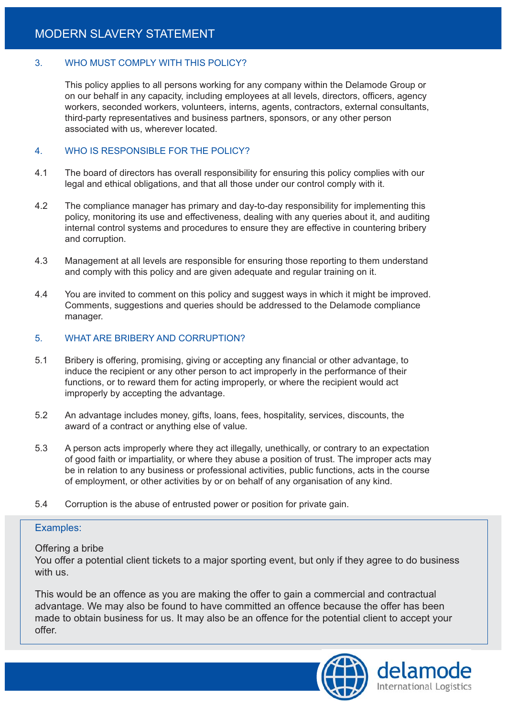#### 3. WHO MUST COMPLY WITH THIS POLICY?

This policy applies to all persons working for any company within the Delamode Group or on our behalf in any capacity, including employees at all levels, directors, officers, agency workers, seconded workers, volunteers, interns, agents, contractors, external consultants, third-party representatives and business partners, sponsors, or any other person associated with us, wherever located.

#### 4. WHO IS RESPONSIBLE FOR THE POLICY?

- 4.1 The board of directors has overall responsibility for ensuring this policy complies with our legal and ethical obligations, and that all those under our control comply with it.
- 4.2 The compliance manager has primary and day-to-day responsibility for implementing this policy, monitoring its use and effectiveness, dealing with any queries about it, and auditing internal control systems and procedures to ensure they are effective in countering bribery and corruption.
- 4.3 Management at all levels are responsible for ensuring those reporting to them understand and comply with this policy and are given adequate and regular training on it.
- 4.4 You are invited to comment on this policy and suggest ways in which it might be improved. Comments, suggestions and queries should be addressed to the Delamode compliance manager.

#### 5. WHAT ARE BRIBERY AND CORRUPTION?

- 5.1 Bribery is offering, promising, giving or accepting any financial or other advantage, to induce the recipient or any other person to act improperly in the performance of their functions, or to reward them for acting improperly, or where the recipient would act improperly by accepting the advantage.
- 5.2 An advantage includes money, gifts, loans, fees, hospitality, services, discounts, the award of a contract or anything else of value.
- 5.3 A person acts improperly where they act illegally, unethically, or contrary to an expectation of good faith or impartiality, or where they abuse a position of trust. The improper acts may be in relation to any business or professional activities, public functions, acts in the course of employment, or other activities by or on behalf of any organisation of any kind.
- 5.4 Corruption is the abuse of entrusted power or position for private gain.

#### Examples:

#### Offering a bribe

You offer a potential client tickets to a major sporting event, but only if they agree to do business with us.

This would be an offence as you are making the offer to gain a commercial and contractual advantage. We may also be found to have committed an offence because the offer has been made to obtain business for us. It may also be an offence for the potential client to accept your offer.

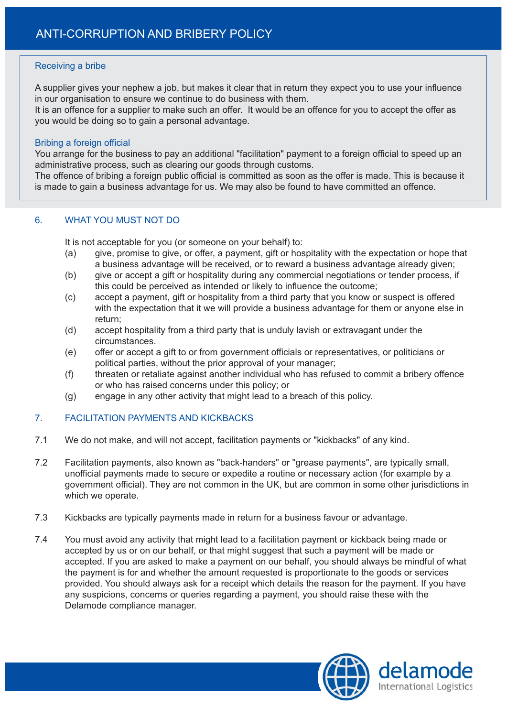#### Receiving a bribe

A supplier gives your nephew a job, but makes it clear that in return they expect you to use your influence in our organisation to ensure we continue to do business with them.

It is an offence for a supplier to make such an offer. It would be an offence for you to accept the offer as you would be doing so to gain a personal advantage.

#### Bribing a foreign official

You arrange for the business to pay an additional "facilitation" payment to a foreign official to speed up an administrative process, such as clearing our goods through customs.

The offence of bribing a foreign public official is committed as soon as the offer is made. This is because it is made to gain a business advantage for us. We may also be found to have committed an offence.

#### 6. WHAT YOU MUST NOT DO

It is not acceptable for you (or someone on your behalf) to:

- (a) give, promise to give, or offer, a payment, gift or hospitality with the expectation or hope that a business advantage will be received, or to reward a business advantage already given;
- (b) give or accept a gift or hospitality during any commercial negotiations or tender process, if this could be perceived as intended or likely to influence the outcome;
- (c) accept a payment, gift or hospitality from a third party that you know or suspect is offered with the expectation that it we will provide a business advantage for them or anyone else in return;
- (d) accept hospitality from a third party that is unduly lavish or extravagant under the circumstances.
- (e) offer or accept a gift to or from government officials or representatives, or politicians or political parties, without the prior approval of your manager;
- (f) threaten or retaliate against another individual who has refused to commit a bribery offence or who has raised concerns under this policy; or
- (g) engage in any other activity that might lead to a breach of this policy.

#### 7. FACILITATION PAYMENTS AND KICKBACKS

- 7.1 We do not make, and will not accept, facilitation payments or "kickbacks" of any kind.
- 7.2 Facilitation payments, also known as "back-handers" or "grease payments", are typically small, unofficial payments made to secure or expedite a routine or necessary action (for example by a government official). They are not common in the UK, but are common in some other jurisdictions in which we operate.
- 7.3 Kickbacks are typically payments made in return for a business favour or advantage.
- 7.4 You must avoid any activity that might lead to a facilitation payment or kickback being made or accepted by us or on our behalf, or that might suggest that such a payment will be made or accepted. If you are asked to make a payment on our behalf, you should always be mindful of what the payment is for and whether the amount requested is proportionate to the goods or services provided. You should always ask for a receipt which details the reason for the payment. If you have any suspicions, concerns or queries regarding a payment, you should raise these with the Delamode compliance manager.

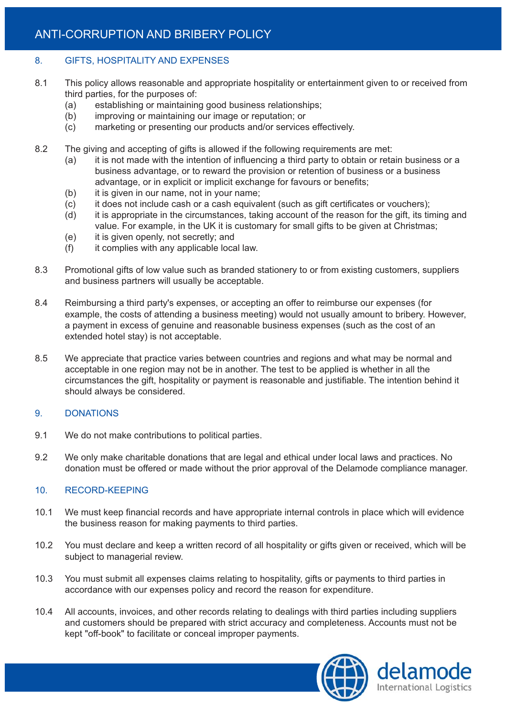## ANTI-CORRUPTION AND BRIBERY POLICY

#### 8. GIFTS, HOSPITALITY AND EXPENSES

- 8.1 This policy allows reasonable and appropriate hospitality or entertainment given to or received from third parties, for the purposes of:
	- (a) establishing or maintaining good business relationships;
	- (b) improving or maintaining our image or reputation; or
	- (c) marketing or presenting our products and/or services effectively.
- 8.2 The giving and accepting of gifts is allowed if the following requirements are met:
	- (a) it is not made with the intention of influencing a third party to obtain or retain business or a business advantage, or to reward the provision or retention of business or a business advantage, or in explicit or implicit exchange for favours or benefits;
	- (b) it is given in our name, not in your name;
	- (c) it does not include cash or a cash equivalent (such as gift certificates or vouchers);
	- (d) it is appropriate in the circumstances, taking account of the reason for the gift, its timing and value. For example, in the UK it is customary for small gifts to be given at Christmas;
	- (e) it is given openly, not secretly; and
	- (f) it complies with any applicable local law.
- 8.3 Promotional gifts of low value such as branded stationery to or from existing customers, suppliers and business partners will usually be acceptable.
- 8.4 Reimbursing a third party's expenses, or accepting an offer to reimburse our expenses (for example, the costs of attending a business meeting) would not usually amount to bribery. However, a payment in excess of genuine and reasonable business expenses (such as the cost of an extended hotel stay) is not acceptable.
- 8.5 We appreciate that practice varies between countries and regions and what may be normal and acceptable in one region may not be in another. The test to be applied is whether in all the circumstances the gift, hospitality or payment is reasonable and justifiable. The intention behind it should always be considered.

#### 9. DONATIONS

- 9.1 We do not make contributions to political parties.
- 9.2 We only make charitable donations that are legal and ethical under local laws and practices. No donation must be offered or made without the prior approval of the Delamode compliance manager.

#### 10. RECORD-KEEPING

- 10.1 We must keep financial records and have appropriate internal controls in place which will evidence the business reason for making payments to third parties.
- 10.2 You must declare and keep a written record of all hospitality or gifts given or received, which will be subject to managerial review.
- 10.3 You must submit all expenses claims relating to hospitality, gifts or payments to third parties in accordance with our expenses policy and record the reason for expenditure.
- 10.4 All accounts, invoices, and other records relating to dealings with third parties including suppliers and customers should be prepared with strict accuracy and completeness. Accounts must not be kept "off-book" to facilitate or conceal improper payments.

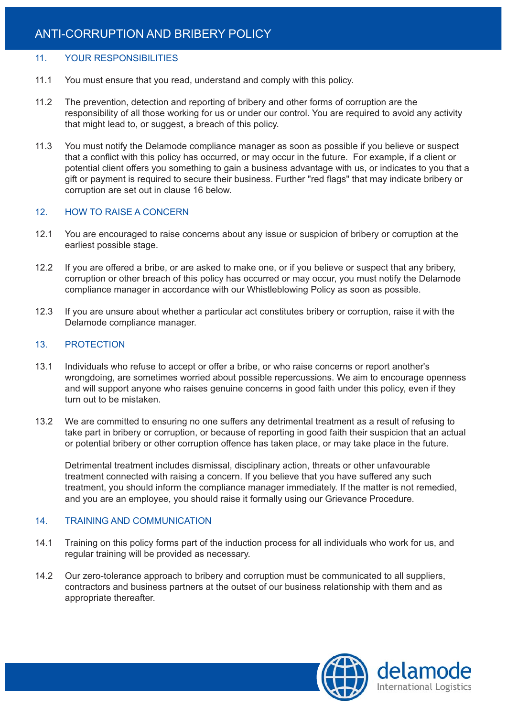#### 11. YOUR RESPONSIBILITIES

- 11.1 You must ensure that you read, understand and comply with this policy.
- 11.2 The prevention, detection and reporting of bribery and other forms of corruption are the responsibility of all those working for us or under our control. You are required to avoid any activity that might lead to, or suggest, a breach of this policy.
- 11.3 You must notify the Delamode compliance manager as soon as possible if you believe or suspect that a conflict with this policy has occurred, or may occur in the future. For example, if a client or potential client offers you something to gain a business advantage with us, or indicates to you that a gift or payment is required to secure their business. Further "red flags" that may indicate bribery or corruption are set out in clause 16 below.

#### 12. HOW TO RAISE A CONCERN

- 12.1 You are encouraged to raise concerns about any issue or suspicion of bribery or corruption at the earliest possible stage.
- 12.2 If you are offered a bribe, or are asked to make one, or if you believe or suspect that any bribery, corruption or other breach of this policy has occurred or may occur, you must notify the Delamode compliance manager in accordance with our Whistleblowing Policy as soon as possible.
- 12.3 If you are unsure about whether a particular act constitutes bribery or corruption, raise it with the Delamode compliance manager.

#### 13. PROTECTION

- 13.1 Individuals who refuse to accept or offer a bribe, or who raise concerns or report another's wrongdoing, are sometimes worried about possible repercussions. We aim to encourage openness and will support anyone who raises genuine concerns in good faith under this policy, even if they turn out to be mistaken.
- 13.2 We are committed to ensuring no one suffers any detrimental treatment as a result of refusing to take part in bribery or corruption, or because of reporting in good faith their suspicion that an actual or potential bribery or other corruption offence has taken place, or may take place in the future.

Detrimental treatment includes dismissal, disciplinary action, threats or other unfavourable treatment connected with raising a concern. If you believe that you have suffered any such treatment, you should inform the compliance manager immediately. If the matter is not remedied, and you are an employee, you should raise it formally using our Grievance Procedure.

#### 14. TRAINING AND COMMUNICATION

- 14.1 Training on this policy forms part of the induction process for all individuals who work for us, and regular training will be provided as necessary.
- 14.2 Our zero-tolerance approach to bribery and corruption must be communicated to all suppliers, contractors and business partners at the outset of our business relationship with them and as appropriate thereafter.